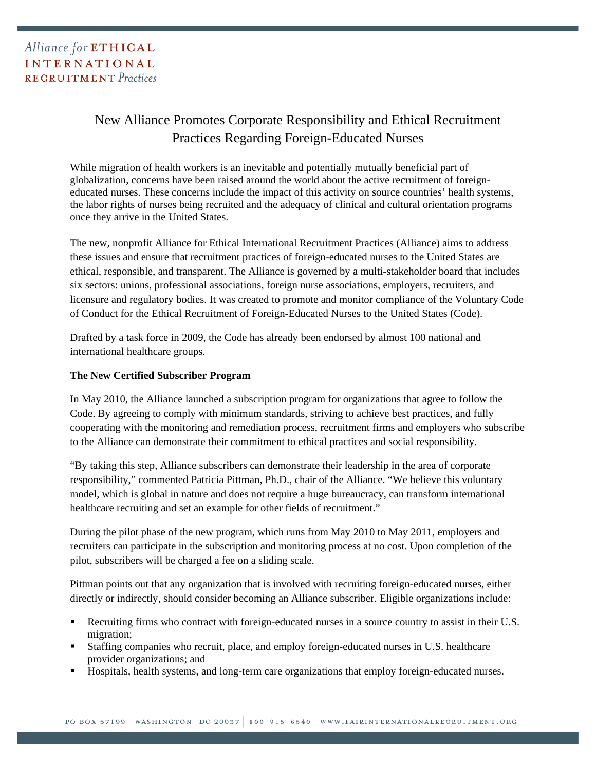## New Alliance Promotes Corporate Responsibility and Ethical Recruitment Practices Regarding Foreign-Educated Nurses

While migration of health workers is an inevitable and potentially mutually beneficial part of globalization, concerns have been raised around the world about the active recruitment of foreigneducated nurses. These concerns include the impact of this activity on source countries' health systems, the labor rights of nurses being recruited and the adequacy of clinical and cultural orientation programs once they arrive in the United States.

The new, nonprofit Alliance for Ethical International Recruitment Practices (Alliance) aims to address these issues and ensure that recruitment practices of foreign-educated nurses to the United States are ethical, responsible, and transparent. The Alliance is governed by a multi-stakeholder board that includes six sectors: unions, professional associations, foreign nurse associations, employers, recruiters, and licensure and regulatory bodies. It was created to promote and monitor compliance of the Voluntary Code of Conduct for the Ethical Recruitment of Foreign-Educated Nurses to the United States (Code).

Drafted by a task force in 2009, the Code has already been endorsed by almost 100 national and international healthcare groups.

## **The New Certified Subscriber Program**

In May 2010, the Alliance launched a subscription program for organizations that agree to follow the Code. By agreeing to comply with minimum standards, striving to achieve best practices, and fully cooperating with the monitoring and remediation process, recruitment firms and employers who subscribe to the Alliance can demonstrate their commitment to ethical practices and social responsibility.

"By taking this step, Alliance subscribers can demonstrate their leadership in the area of corporate responsibility," commented Patricia Pittman, Ph.D., chair of the Alliance. "We believe this voluntary model, which is global in nature and does not require a huge bureaucracy, can transform international healthcare recruiting and set an example for other fields of recruitment."

During the pilot phase of the new program, which runs from May 2010 to May 2011, employers and recruiters can participate in the subscription and monitoring process at no cost. Upon completion of the pilot, subscribers will be charged a fee on a sliding scale.

Pittman points out that any organization that is involved with recruiting foreign-educated nurses, either directly or indirectly, should consider becoming an Alliance subscriber. Eligible organizations include:

- Recruiting firms who contract with foreign-educated nurses in a source country to assist in their U.S. migration;
- Staffing companies who recruit, place, and employ foreign-educated nurses in U.S. healthcare provider organizations; and
- Hospitals, health systems, and long-term care organizations that employ foreign-educated nurses.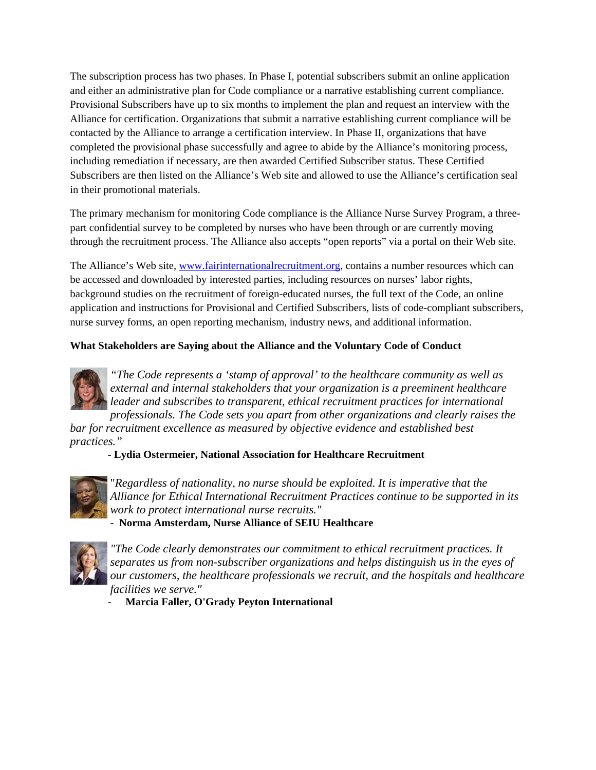The subscription process has two phases. In Phase I, potential subscribers submit an online application and either an administrative plan for Code compliance or a narrative establishing current compliance. Provisional Subscribers have up to six months to implement the plan and request an interview with the Alliance for certification. Organizations that submit a narrative establishing current compliance will be contacted by the Alliance to arrange a certification interview. In Phase II, organizations that have completed the provisional phase successfully and agree to abide by the Alliance's monitoring process, including remediation if necessary, are then awarded Certified Subscriber status. These Certified Subscribers are then listed on the Alliance's Web site and allowed to use the Alliance's certification seal in their promotional materials.

The primary mechanism for monitoring Code compliance is the Alliance Nurse Survey Program, a threepart confidential survey to be completed by nurses who have been through or are currently moving through the recruitment process. The Alliance also accepts "open reports" via a portal on their Web site.

The Alliance's Web site, www.fairinternationalrecruitment.org, contains a number resources which can be accessed and downloaded by interested parties, including resources on nurses' labor rights, background studies on the recruitment of foreign-educated nurses, the full text of the Code, an online application and instructions for Provisional and Certified Subscribers, lists of code-compliant subscribers, nurse survey forms, an open reporting mechanism, industry news, and additional information.

## **What Stakeholders are Saying about the Alliance and the Voluntary Code of Conduct**



*"The Code represents a 'stamp of approval' to the healthcare community as well as external and internal stakeholders that your organization is a preeminent healthcare leader and subscribes to transparent, ethical recruitment practices for international professionals. The Code sets you apart from other organizations and clearly raises the* 

*bar for recruitment excellence as measured by objective evidence and established best practices."* 

 *-* **Lydia Ostermeier, National Association for Healthcare Recruitment**



"*Regardless of nationality, no nurse should be exploited. It is imperative that the Alliance for Ethical International Recruitment Practices continue to be supported in its work to protect international nurse recruits."* 

**- Norma Amsterdam, Nurse Alliance of SEIU Healthcare** 



*"The Code clearly demonstrates our commitment to ethical recruitment practices. It separates us from non-subscriber organizations and helps distinguish us in the eyes of our customers, the healthcare professionals we recruit, and the hospitals and healthcare facilities we serve."* 

- **Marcia Faller, O'Grady Peyton International**